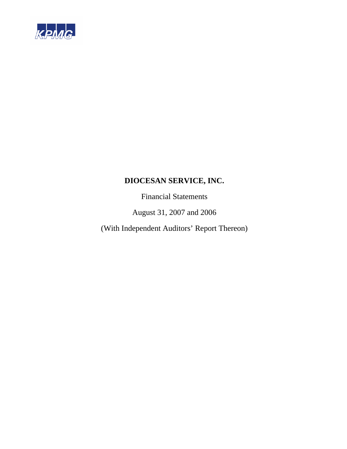

Financial Statements

August 31, 2007 and 2006

(With Independent Auditors' Report Thereon)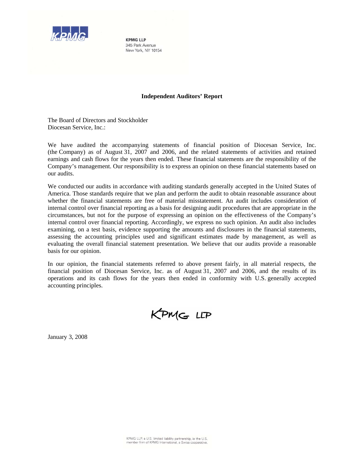

**KPMG IIP** 345 Park Avenue New York, NY 10154

#### **Independent Auditors' Report**

The Board of Directors and Stockholder Diocesan Service, Inc.:

We have audited the accompanying statements of financial position of Diocesan Service, Inc. (the Company) as of August 31, 2007 and 2006, and the related statements of activities and retained earnings and cash flows for the years then ended. These financial statements are the responsibility of the Company's management. Our responsibility is to express an opinion on these financial statements based on our audits.

We conducted our audits in accordance with auditing standards generally accepted in the United States of America. Those standards require that we plan and perform the audit to obtain reasonable assurance about whether the financial statements are free of material misstatement. An audit includes consideration of internal control over financial reporting as a basis for designing audit procedures that are appropriate in the circumstances, but not for the purpose of expressing an opinion on the effectiveness of the Company's internal control over financial reporting. Accordingly, we express no such opinion. An audit also includes examining, on a test basis, evidence supporting the amounts and disclosures in the financial statements, assessing the accounting principles used and significant estimates made by management, as well as evaluating the overall financial statement presentation. We believe that our audits provide a reasonable basis for our opinion.

In our opinion, the financial statements referred to above present fairly, in all material respects, the financial position of Diocesan Service, Inc. as of August 31, 2007 and 2006, and the results of its operations and its cash flows for the years then ended in conformity with U.S. generally accepted accounting principles.

KPMG LLP

January 3, 2008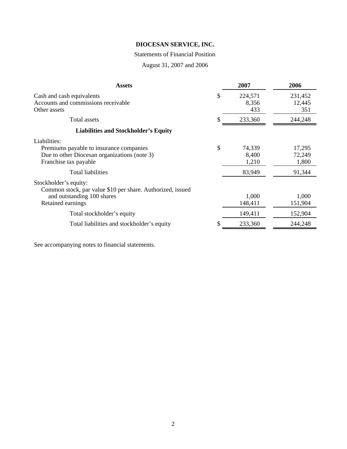# Statements of Financial Position

August 31, 2007 and 2006

| <b>Assets</b>                                                                                                                                                | 2007                                     | 2006                                |
|--------------------------------------------------------------------------------------------------------------------------------------------------------------|------------------------------------------|-------------------------------------|
| Cash and cash equivalents<br>Accounts and commissions receivable<br>Other assets                                                                             | \$<br>224,571<br>8,356<br>433            | 231,452<br>12,445<br>351            |
| Total assets                                                                                                                                                 | 233,360                                  | 244,248                             |
| <b>Liabilities and Stockholder's Equity</b>                                                                                                                  |                                          |                                     |
| Liabilities:<br>Premiums payable to insurance companies<br>Due to other Diocesan organizations (note 3)<br>Franchise tax payable<br><b>Total liabilities</b> | \$<br>74,339<br>8,400<br>1,210<br>83,949 | 17,295<br>72,249<br>1,800<br>91,344 |
| Stockholder's equity:<br>Common stock, par value \$10 per share. Authorized, issued<br>and outstanding 100 shares<br>Retained earnings                       | 1,000<br>148,411                         | 1,000<br>151,904                    |
| Total stockholder's equity                                                                                                                                   | 149,411                                  | 152,904                             |
| Total liabilities and stockholder's equity                                                                                                                   | 233,360                                  | 244,248                             |

See accompanying notes to financial statements.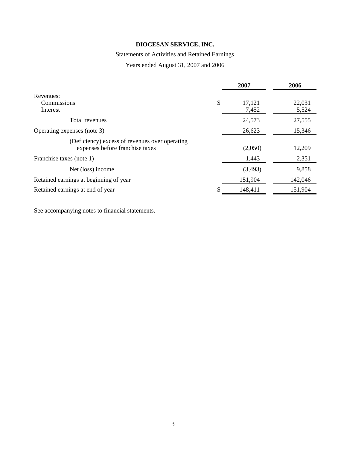# Statements of Activities and Retained Earnings

Years ended August 31, 2007 and 2006

|                                                                                   | 2007                  | 2006            |
|-----------------------------------------------------------------------------------|-----------------------|-----------------|
| Revenues:<br>Commissions<br>Interest                                              | \$<br>17,121<br>7,452 | 22,031<br>5,524 |
| Total revenues                                                                    | 24,573                | 27,555          |
| Operating expenses (note 3)                                                       | 26,623                | 15,346          |
| (Deficiency) excess of revenues over operating<br>expenses before franchise taxes | (2,050)               | 12,209          |
| Franchise taxes (note 1)                                                          | 1,443                 | 2,351           |
| Net (loss) income                                                                 | (3,493)               | 9,858           |
| Retained earnings at beginning of year                                            | 151,904               | 142,046         |
| Retained earnings at end of year                                                  | \$<br>148,411         | 151,904         |

See accompanying notes to financial statements.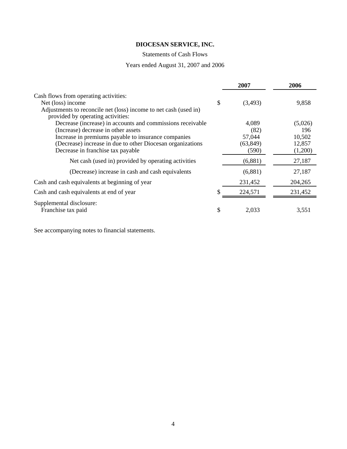# Statements of Cash Flows

# Years ended August 31, 2007 and 2006

|                                                                                                       | 2007          | 2006    |
|-------------------------------------------------------------------------------------------------------|---------------|---------|
| Cash flows from operating activities:                                                                 |               |         |
| Net (loss) income                                                                                     | \$<br>(3,493) | 9,858   |
| Adjustments to reconcile net (loss) income to net cash (used in)<br>provided by operating activities: |               |         |
| Decrease (increase) in accounts and commissions receivable                                            | 4,089         | (5,026) |
| (Increase) decrease in other assets                                                                   | (82)          | 196     |
| Increase in premiums payable to insurance companies                                                   | 57,044        | 10,502  |
| (Decrease) increase in due to other Diocesan organizations                                            | (63, 849)     | 12,857  |
| Decrease in franchise tax payable                                                                     | (590)         | (1,200) |
| Net cash (used in) provided by operating activities                                                   | (6,881)       | 27,187  |
| (Decrease) increase in cash and cash equivalents                                                      | (6,881)       | 27,187  |
| Cash and cash equivalents at beginning of year                                                        | 231,452       | 204,265 |
| Cash and cash equivalents at end of year                                                              | 224,571       | 231,452 |
| Supplemental disclosure:                                                                              |               |         |
| Franchise tax paid                                                                                    | \$<br>2,033   | 3,551   |

See accompanying notes to financial statements.